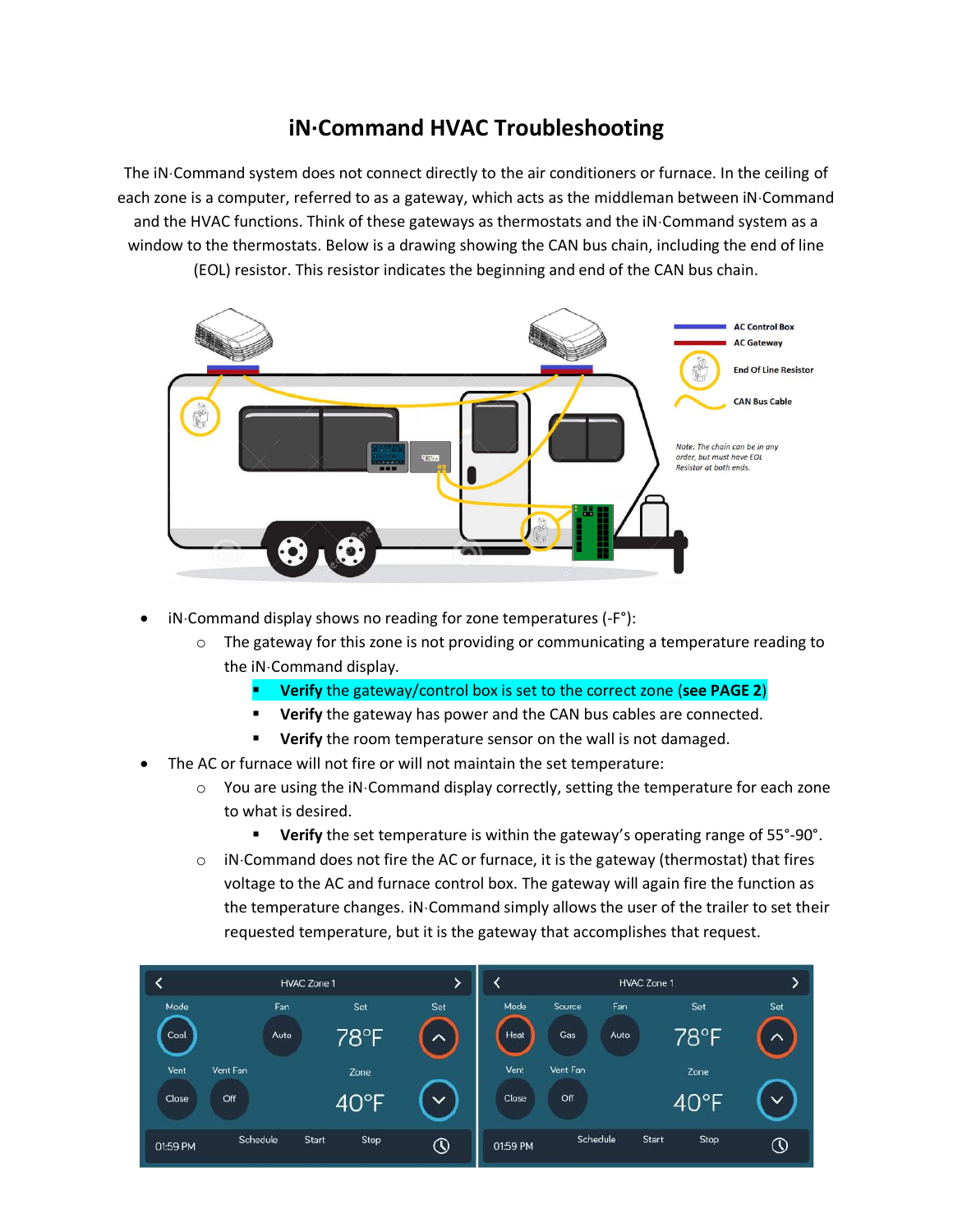## **iN·Command HVAC Troubleshooting**

The iN Command system does not connect directly to the air conditioners or furnace. In the ceiling of each zone is a computer, referred to as a gateway, which acts as the middleman between iN Command and the HVAC functions. Think of these gateways as thermostats and the iN Command system as a window to the thermostats. Below is a drawing showing the CAN bus chain, including the end of line (EOL) resistor. This resistor indicates the beginning and end of the CAN bus chain.



- iN·Command display shows no reading for zone temperatures (-F°):
	- $\circ$  The gateway for this zone is not providing or communicating a temperature reading to the iN·Command display.
		- **Verify** the gateway/control box is set to the correct zone (**see PAGE 2**)
		- **Verify** the gateway has power and the CAN bus cables are connected.
		- **E** Verify the room temperature sensor on the wall is not damaged.
- The AC or furnace will not fire or will not maintain the set temperature:
	- $\circ$  You are using the iN $\cdot$ Command display correctly, setting the temperature for each zone to what is desired.
		- Verify the set temperature is within the gateway's operating range of 55°-90°.
	- $\circ$  iN $\cdot$ Command does not fire the AC or furnace, it is the gateway (thermostat) that fires voltage to the AC and furnace control box. The gateway will again fire the function as the temperature changes. iN Command simply allows the user of the trailer to set their requested temperature, but it is the gateway that accomplishes that request.

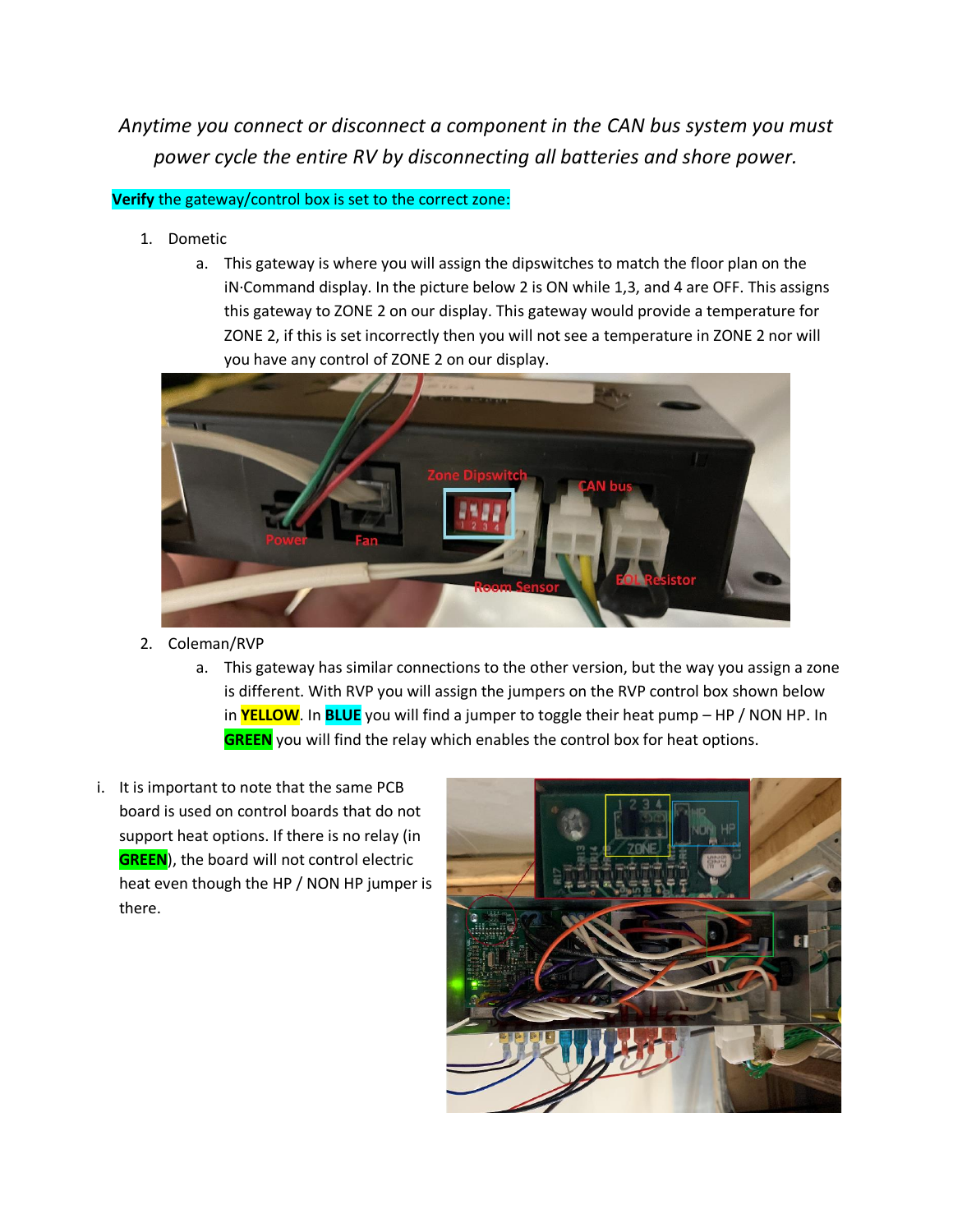*Anytime you connect or disconnect a component in the CAN bus system you must power cycle the entire RV by disconnecting all batteries and shore power.*

## **Verify** the gateway/control box is set to the correct zone:

- 1. Dometic
	- a. This gateway is where you will assign the dipswitches to match the floor plan on the iN·Command display. In the picture below 2 is ON while 1,3, and 4 are OFF. This assigns this gateway to ZONE 2 on our display. This gateway would provide a temperature for ZONE 2, if this is set incorrectly then you will not see a temperature in ZONE 2 nor will you have any control of ZONE 2 on our display.



- 2. Coleman/RVP
	- a. This gateway has similar connections to the other version, but the way you assign a zone is different. With RVP you will assign the jumpers on the RVP control box shown below in **YELLOW**. In **BLUE** you will find a jumper to toggle their heat pump – HP / NON HP. In **GREEN** you will find the relay which enables the control box for heat options.
- i. It is important to note that the same PCB board is used on control boards that do not support heat options. If there is no relay (in **GREEN**), the board will not control electric heat even though the HP / NON HP jumper is there.

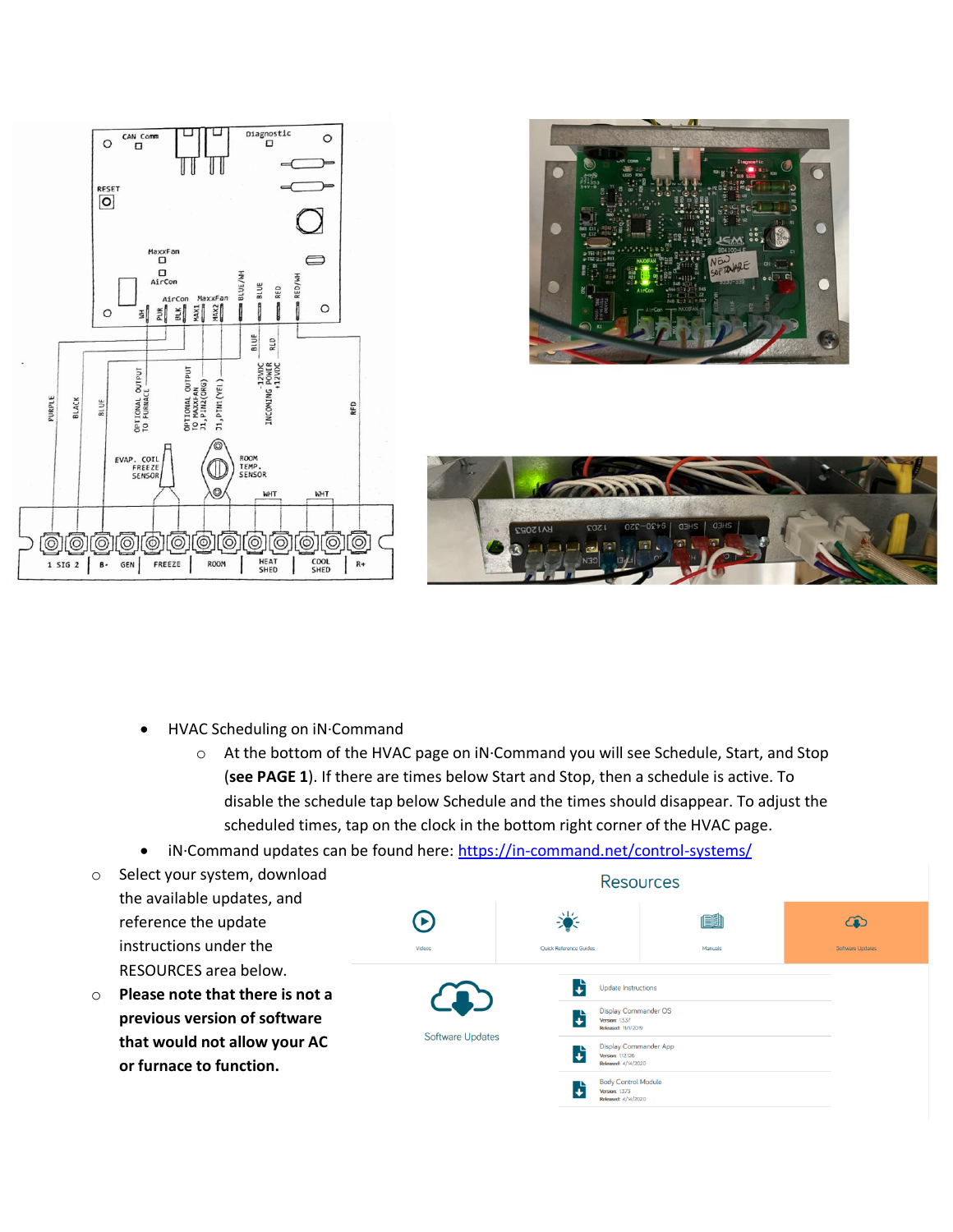





- HVAC Scheduling on iN·Command
	- o At the bottom of the HVAC page on iN·Command you will see Schedule, Start, and Stop (**see PAGE 1**). If there are times below Start and Stop, then a schedule is active. To disable the schedule tap below Schedule and the times should disappear. To adjust the scheduled times, tap on the clock in the bottom right corner of the HVAC page.
- iN·Command updates can be found here:<https://in-command.net/control-systems/>